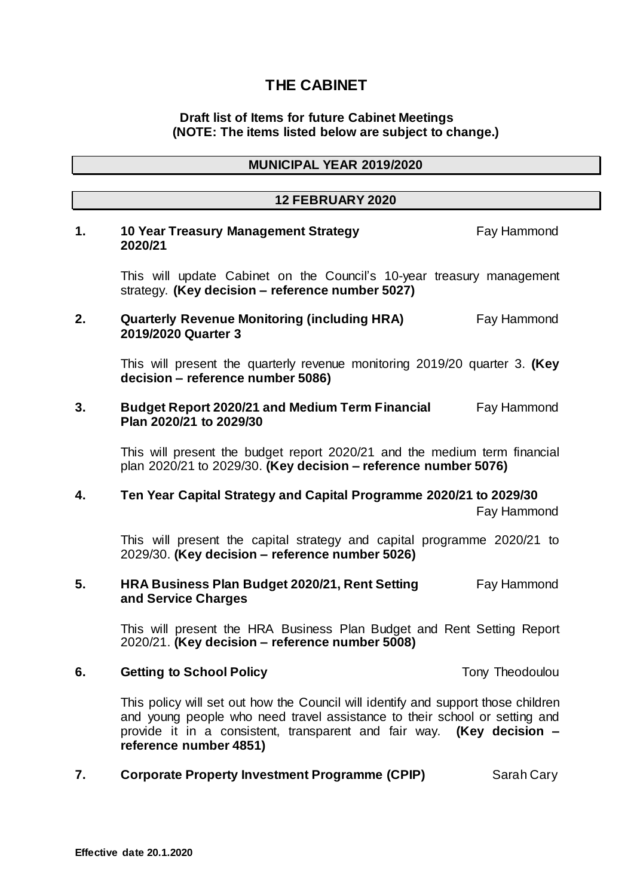# **THE CABINET**

## **Draft list of Items for future Cabinet Meetings (NOTE: The items listed below are subject to change.)**

#### **12 FEBRUARY 2020**

## **1. 10 Year Treasury Management Strategy Fay Hammond 2020/21**

This will update Cabinet on the Council's 10-year treasury management strategy. **(Key decision – reference number 5027)**

## **2. Quarterly Revenue Monitoring (including HRA) Fay Hammond 2019/2020 Quarter 3**

This will present the quarterly revenue monitoring 2019/20 quarter 3. **(Key decision – reference number 5086)**

#### **3. Budget Report 2020/21 and Medium Term Financial** Fay Hammond **Plan 2020/21 to 2029/30**

This will present the budget report 2020/21 and the medium term financial plan 2020/21 to 2029/30. **(Key decision – reference number 5076)**

## **4. Ten Year Capital Strategy and Capital Programme 2020/21 to 2029/30**

Fay Hammond

This will present the capital strategy and capital programme 2020/21 to 2029/30. **(Key decision – reference number 5026)**

## **5. HRA Business Plan Budget 2020/21, Rent Setting Fay Hammond and Service Charges**

This will present the HRA Business Plan Budget and Rent Setting Report 2020/21. **(Key decision – reference number 5008)**

#### **6. Getting to School Policy Tony Theodoulou Tony Theodoulou**

This policy will set out how the Council will identify and support those children and young people who need travel assistance to their school or setting and provide it in a consistent, transparent and fair way. **(Key decision – reference number 4851)** 

## **7. Corporate Property Investment Programme (CPIP)** Sarah Cary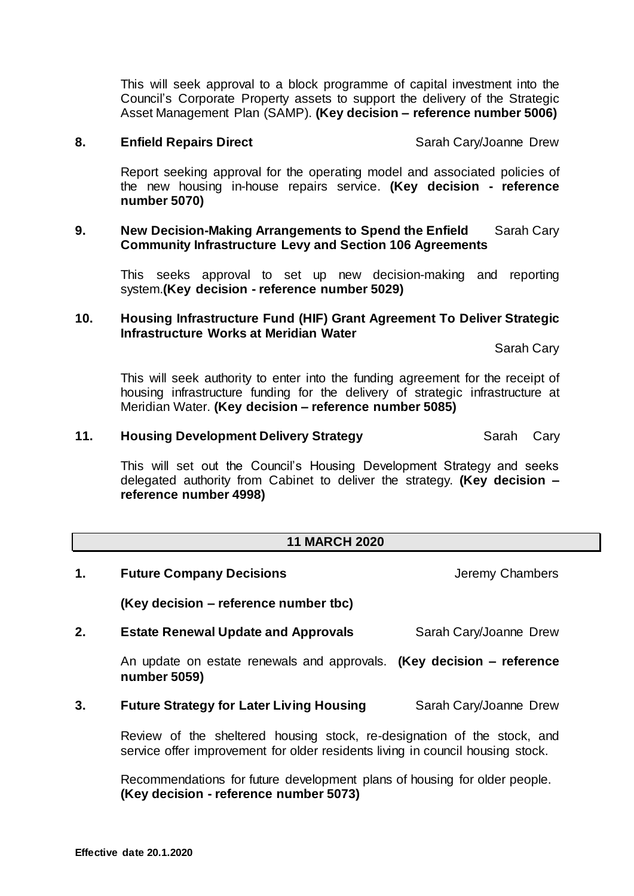This will seek approval to a block programme of capital investment into the Council's Corporate Property assets to support the delivery of the Strategic Asset Management Plan (SAMP). **(Key decision – reference number 5006)** 

#### **8. Enfield Repairs Direct** Sarah Cary/Joanne Drew

Report seeking approval for the operating model and associated policies of the new housing in-house repairs service. **(Key decision - reference number 5070)**

#### **9. New Decision-Making Arrangements to Spend the Enfield** Sarah Cary **Community Infrastructure Levy and Section 106 Agreements**

This seeks approval to set up new decision-making and reporting system.**(Key decision - reference number 5029)**

## **10. Housing Infrastructure Fund (HIF) Grant Agreement To Deliver Strategic Infrastructure Works at Meridian Water**

Sarah Cary

This will seek authority to enter into the funding agreement for the receipt of housing infrastructure funding for the delivery of strategic infrastructure at Meridian Water. **(Key decision – reference number 5085)**

## **11. Housing Development Delivery Strategy SARA** Sarah Cary

This will set out the Council's Housing Development Strategy and seeks delegated authority from Cabinet to deliver the strategy. **(Key decision – reference number 4998)** 

## **11 MARCH 2020**

- **1. Future Company Decisions Jeremy Chambers (Key decision – reference number tbc) 2. Estate Renewal Update and Approvals** Sarah Cary/Joanne Drew An update on estate renewals and approvals. **(Key decision – reference number 5059) 3. Future Strategy for Later Living Housing** Sarah Cary/Joanne Drew
	- Review of the sheltered housing stock, re-designation of the stock, and service offer improvement for older residents living in council housing stock.

Recommendations for future development plans of housing for older people. **(Key decision - reference number 5073)**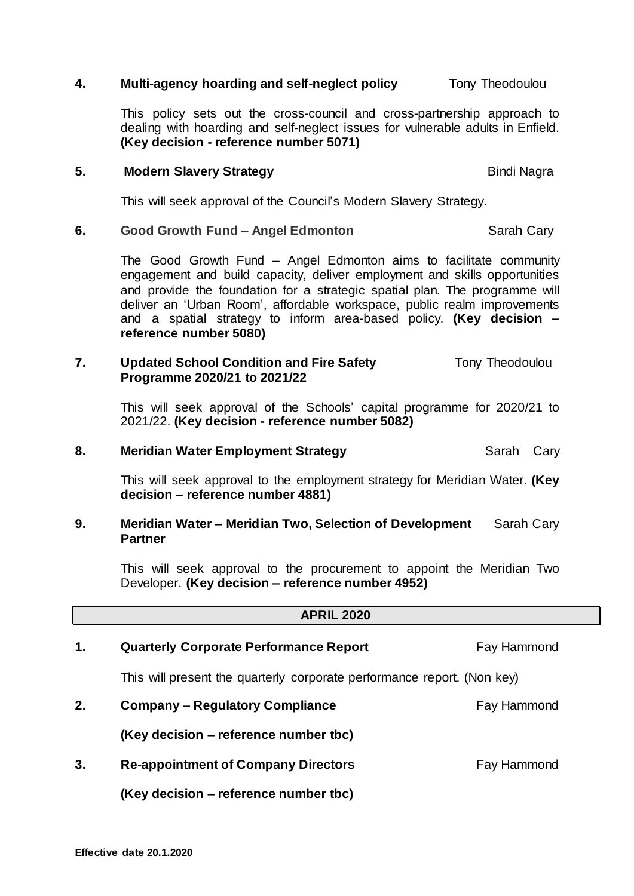# **Effective date 20.1.2020**

## **4. Multi-agency hoarding and self-neglect policy Theodoulou Tony Theodoulou**

This policy sets out the cross-council and cross-partnership approach to dealing with hoarding and self-neglect issues for vulnerable adults in Enfield. **(Key decision - reference number 5071)**

## **5.** Modern Slavery Strategy **Bindi Nagrams** Bindi Nagra

This will seek approval of the Council's Modern Slavery Strategy.

## **6. Good Growth Fund – Angel Edmonton** Sarah Cary

The Good Growth Fund – Angel Edmonton aims to facilitate community engagement and build capacity, deliver employment and skills opportunities and provide the foundation for a strategic spatial plan. The programme will deliver an 'Urban Room', affordable workspace, public realm improvements and a spatial strategy to inform area-based policy. **(Key decision – reference number 5080)**

## **7.** Updated School Condition and Fire Safety **Theodoulou Programme 2020/21 to 2021/22**

This will seek approval of the Schools' capital programme for 2020/21 to 2021/22. **(Key decision - reference number 5082)**

## **8. Meridian Water Employment Strategy Sarah Cary Sarah Cary**

This will seek approval to the employment strategy for Meridian Water. **(Key decision – reference number 4881)** 

## **9. Meridian Water – Meridian Two, Selection of Development** Sarah Cary **Partner**

This will seek approval to the procurement to appoint the Meridian Two Developer. **(Key decision – reference number 4952)**

**APRIL 2020**

| 1. | <b>Quarterly Corporate Performance Report</b>                           | Fay Hammond |
|----|-------------------------------------------------------------------------|-------------|
|    | This will present the quarterly corporate performance report. (Non key) |             |
| 2. | <b>Company – Regulatory Compliance</b>                                  | Fay Hammond |
|    | (Key decision – reference number tbc)                                   |             |
| 3. | <b>Re-appointment of Company Directors</b>                              | Fay Hammond |
|    | (Key decision – reference number tbc)                                   |             |